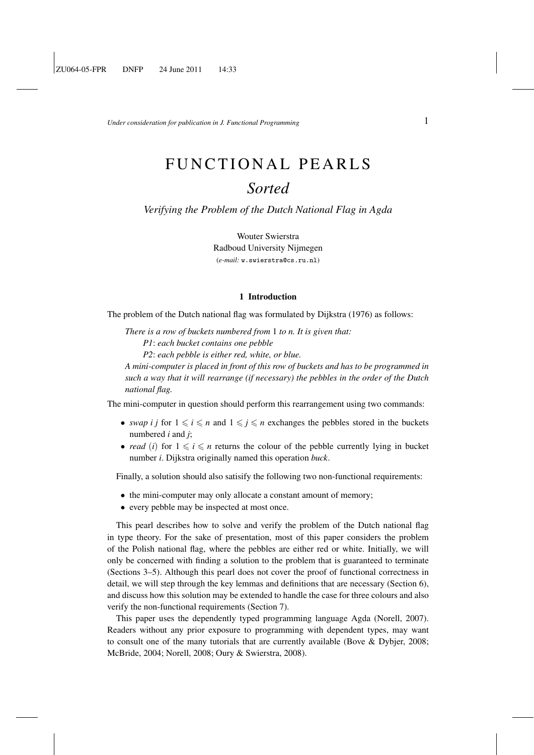*Under consideration for publication in J. Functional Programming*  $1$ 

# FUNCTIONAL PEARLS *Sorted*

*Verifying the Problem of the Dutch National Flag in Agda*

Wouter Swierstra Radboud University Nijmegen (*e-mail:* w.swierstra@cs.ru.nl)

#### 1 Introduction

The problem of the Dutch national flag was formulated by Dijkstra (1976) as follows:

*There is a row of buckets numbered from* 1 *to n. It is given that: P1*: *each bucket contains one pebble P2*: *each pebble is either red, white, or blue.*

*A mini-computer is placed in front of this row of buckets and has to be programmed in such a way that it will rearrange (if necessary) the pebbles in the order of the Dutch national flag.*

The mini-computer in question should perform this rearrangement using two commands:

- *swap i j* for  $1 \le i \le n$  and  $1 \le j \le n$  exchanges the pebbles stored in the buckets numbered *i* and *j*;
- *read* (*i*) for  $1 \leq i \leq n$  returns the colour of the pebble currently lying in bucket number *i*. Dijkstra originally named this operation *buck*.

Finally, a solution should also satisify the following two non-functional requirements:

- the mini-computer may only allocate a constant amount of memory;
- every pebble may be inspected at most once.

This pearl describes how to solve and verify the problem of the Dutch national flag in type theory. For the sake of presentation, most of this paper considers the problem of the Polish national flag, where the pebbles are either red or white. Initially, we will only be concerned with finding a solution to the problem that is guaranteed to terminate (Sections 3–5). Although this pearl does not cover the proof of functional correctness in detail, we will step through the key lemmas and definitions that are necessary (Section 6), and discuss how this solution may be extended to handle the case for three colours and also verify the non-functional requirements (Section 7).

This paper uses the dependently typed programming language Agda (Norell, 2007). Readers without any prior exposure to programming with dependent types, may want to consult one of the many tutorials that are currently available (Bove & Dybjer, 2008; McBride, 2004; Norell, 2008; Oury & Swierstra, 2008).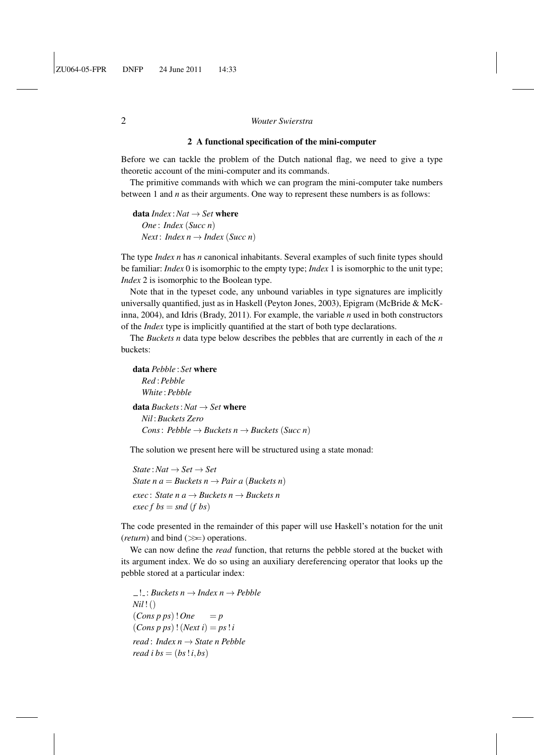## 2 A functional specification of the mini-computer

Before we can tackle the problem of the Dutch national flag, we need to give a type theoretic account of the mini-computer and its commands.

The primitive commands with which we can program the mini-computer take numbers between 1 and *n* as their arguments. One way to represent these numbers is as follows:

data  $Index : Nat \rightarrow Set$  where *One* : *Index* (*Succ n*) *Next* : *Index*  $n \rightarrow$  *Index* (*Succ n*)

The type *Index n* has *n* canonical inhabitants. Several examples of such finite types should be familiar: *Index* 0 is isomorphic to the empty type; *Index* 1 is isomorphic to the unit type; *Index* 2 is isomorphic to the Boolean type.

Note that in the typeset code, any unbound variables in type signatures are implicitly universally quantified, just as in Haskell (Peyton Jones, 2003), Epigram (McBride & McKinna, 2004), and Idris (Brady, 2011). For example, the variable *n* used in both constructors of the *Index* type is implicitly quantified at the start of both type declarations.

The *Buckets n* data type below describes the pebbles that are currently in each of the *n* buckets:

data *Pebble* : *Set* where *Red* :*Pebble White* :*Pebble* data *Buckets*:*Nat* → *Set* where *Nil* :*Buckets Zero Cons*:  $Pebble \rightarrow Buckets \space n \rightarrow Buckets \space (Succ \space n)$ 

The solution we present here will be structured using a state monad:

 $State: Nat \rightarrow Set \rightarrow Set$ *State n a* = *Buckets n*  $\rightarrow$  *Pair a* (*Buckets n*) *exec* : *State n a* → *Buckets n* → *Buckets n*  $exec f bs = snd (f bs)$ 

The code presented in the remainder of this paper will use Haskell's notation for the unit (*return*) and bind  $(\gg)$  operations.

We can now define the *read* function, that returns the pebble stored at the bucket with its argument index. We do so using an auxiliary dereferencing operator that looks up the pebble stored at a particular index:

 $\Box$ : *Buckets n*  $\rightarrow$  *Index n*  $\rightarrow$  *Pebble Nil*!()  $(Cons\ p\ ps)$ ! *One* = *p*  $(Cons p ps)$ !  $(Next i) = ps! i$ *read* : *Index n* → *State n Pebble read i bs* =  $(bs!i, bs)$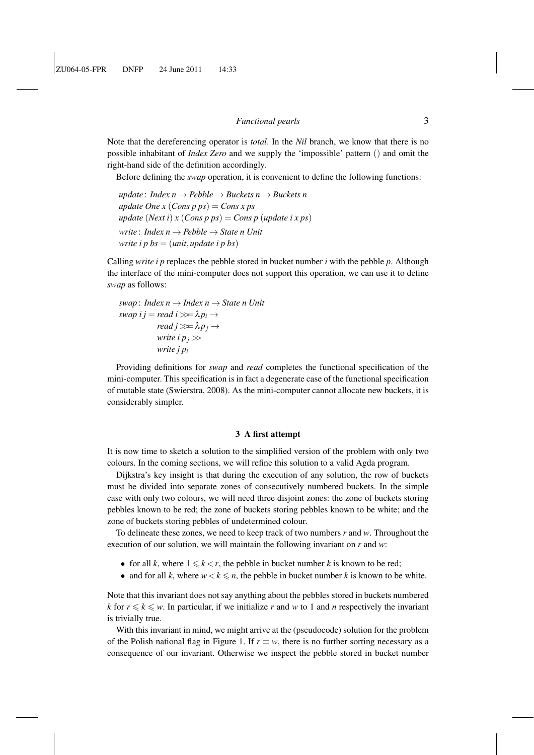Note that the dereferencing operator is *total*. In the *Nil* branch, we know that there is no possible inhabitant of *Index Zero* and we supply the 'impossible' pattern () and omit the right-hand side of the definition accordingly.

Before defining the *swap* operation, it is convenient to define the following functions:

*update* : *Index n* → *Pebble* → *Buckets n* → *Buckets n update One x*  $(Cons\ p\ ps) = Cons\ x\ ps$ *update* (*Next i*) *x* (*Cons p ps*) = *Cons p* (*update i x ps*) *write* : *Index n* → *Pebble* → *State n Unit write i p bs* = (*unit*,*update i p bs*)

Calling *write i p* replaces the pebble stored in bucket number *i* with the pebble *p*. Although the interface of the mini-computer does not support this operation, we can use it to define *swap* as follows:

*swap* : *Index n* → *Index n* → *State n Unit*  $swap \, i \, j = read \, i \gg \lambda p_i \rightarrow$ *read*  $j \gg \lambda p_j \rightarrow$ *write i*  $p_j \gg$ *write j p<sup>i</sup>*

Providing definitions for *swap* and *read* completes the functional specification of the mini-computer. This specification is in fact a degenerate case of the functional specification of mutable state (Swierstra, 2008). As the mini-computer cannot allocate new buckets, it is considerably simpler.

#### 3 A first attempt

It is now time to sketch a solution to the simplified version of the problem with only two colours. In the coming sections, we will refine this solution to a valid Agda program.

Dijkstra's key insight is that during the execution of any solution, the row of buckets must be divided into separate zones of consecutively numbered buckets. In the simple case with only two colours, we will need three disjoint zones: the zone of buckets storing pebbles known to be red; the zone of buckets storing pebbles known to be white; and the zone of buckets storing pebbles of undetermined colour.

To delineate these zones, we need to keep track of two numbers *r* and *w*. Throughout the execution of our solution, we will maintain the following invariant on *r* and *w*:

- for all *k*, where  $1 \leq k < r$ , the pebble in bucket number *k* is known to be red;
- and for all *k*, where  $w < k \le n$ , the pebble in bucket number *k* is known to be white.

Note that this invariant does not say anything about the pebbles stored in buckets numbered *k* for  $r \le k \le w$ . In particular, if we initialize *r* and *w* to 1 and *n* respectively the invariant is trivially true.

With this invariant in mind, we might arrive at the (pseudocode) solution for the problem of the Polish national flag in Figure 1. If  $r \equiv w$ , there is no further sorting necessary as a consequence of our invariant. Otherwise we inspect the pebble stored in bucket number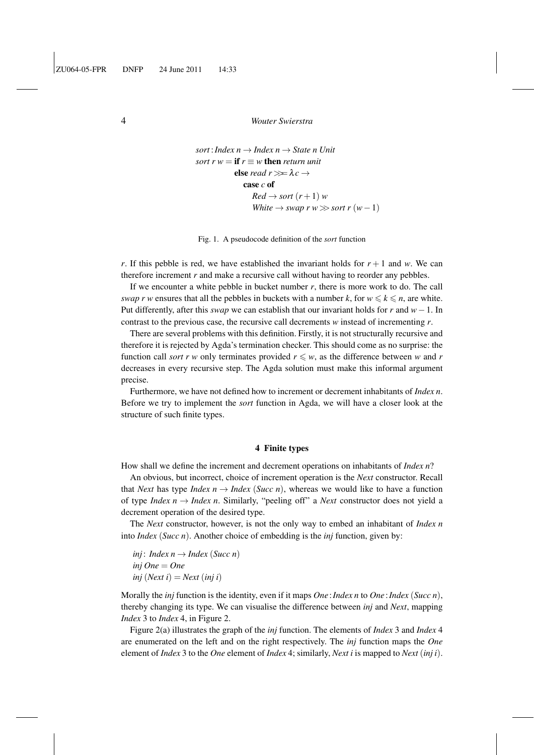```
sort: Index n \rightarrow Index n \rightarrow State nsort r w = \textbf{if } r \equiv w \textbf{ then } return \textbf{ unit}else read r \gg \lambda c \rightarrowcase c of
                       Red \rightarrow sort (r+1) w
                       White \rightarrow swap r w \gg sort r (w-1)
```
Fig. 1. A pseudocode definition of the *sort* function

*r*. If this pebble is red, we have established the invariant holds for  $r + 1$  and *w*. We can therefore increment *r* and make a recursive call without having to reorder any pebbles.

If we encounter a white pebble in bucket number *r*, there is more work to do. The call *swap r w* ensures that all the pebbles in buckets with a number *k*, for  $w \le k \le n$ , are white. Put differently, after this *swap* we can establish that our invariant holds for *r* and *w*−1. In contrast to the previous case, the recursive call decrements *w* instead of incrementing *r*.

There are several problems with this definition. Firstly, it is not structurally recursive and therefore it is rejected by Agda's termination checker. This should come as no surprise: the function call *sort* r w only terminates provided  $r \leq w$ , as the difference between w and r decreases in every recursive step. The Agda solution must make this informal argument precise.

Furthermore, we have not defined how to increment or decrement inhabitants of *Index n*. Before we try to implement the *sort* function in Agda, we will have a closer look at the structure of such finite types.

#### 4 Finite types

How shall we define the increment and decrement operations on inhabitants of *Index n*?

An obvious, but incorrect, choice of increment operation is the *Next* constructor. Recall that *Next* has type *Index n*  $\rightarrow$  *Index (Succ n*), whereas we would like to have a function of type *Index n*  $\rightarrow$  *Index n*. Similarly, "peeling off" a *Next* constructor does not yield a decrement operation of the desired type.

The *Next* constructor, however, is not the only way to embed an inhabitant of *Index n* into *Index* (*Succ n*). Another choice of embedding is the *inj* function, given by:

*inj*: *Index*  $n \rightarrow$  *Index* (*Succ n*) *inj One* = *One*  $inj$  (*Next i*) = *Next* (*inj i*)

Morally the *inj* function is the identity, even if it maps *One* :*Index n* to *One* :*Index* (*Succ n*), thereby changing its type. We can visualise the difference between *inj* and *Next*, mapping *Index* 3 to *Index* 4, in Figure 2.

Figure 2(a) illustrates the graph of the *inj* function. The elements of *Index* 3 and *Index* 4 are enumerated on the left and on the right respectively. The *inj* function maps the *One* element of *Index* 3 to the *One* element of *Index* 4; similarly, *Next i* is mapped to *Next* (*inj i*).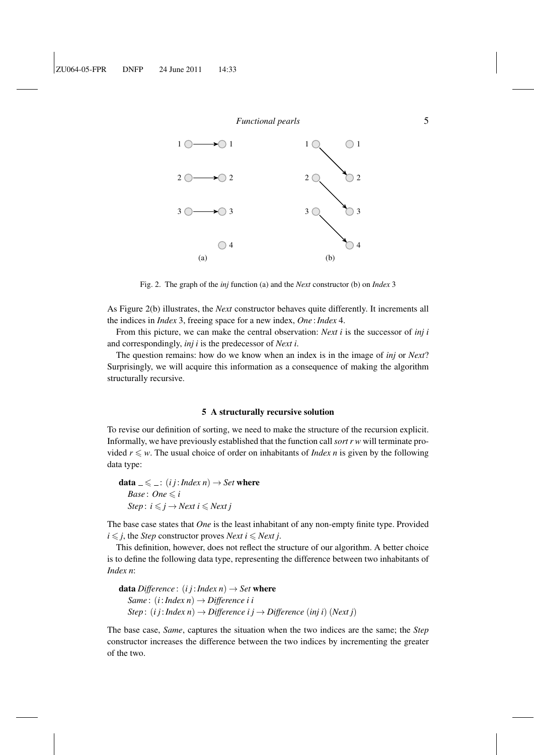

Fig. 2. The graph of the *inj* function (a) and the *Next* constructor (b) on *Index* 3

As Figure 2(b) illustrates, the *Next* constructor behaves quite differently. It increments all the indices in *Index* 3, freeing space for a new index, *One* :*Index* 4.

From this picture, we can make the central observation: *Next i* is the successor of *inj i* and correspondingly, *inj i* is the predecessor of *Next i*.

The question remains: how do we know when an index is in the image of *inj* or *Next*? Surprisingly, we will acquire this information as a consequence of making the algorithm structurally recursive.

#### 5 A structurally recursive solution

To revise our definition of sorting, we need to make the structure of the recursion explicit. Informally, we have previously established that the function call *sort r w* will terminate provided  $r \leq w$ . The usual choice of order on inhabitants of *Index n* is given by the following data type:

**data**  $\leq \leq$  : (*i j* : *Index n*)  $\rightarrow$  *Set* where *Base* : *One*  $\leq i$ *Step* :  $i \leq j \rightarrow Next$   $i \leq Next$  *j* 

The base case states that *One* is the least inhabitant of any non-empty finite type. Provided  $i \leq j$ , the *Step* constructor proves *Next*  $i \leq Next j$ .

This definition, however, does not reflect the structure of our algorithm. A better choice is to define the following data type, representing the difference between two inhabitants of *Index n*:

**data** *Difference* : (*i j* : *Index n*)  $\rightarrow$  *Set* where *Same* : (*i*:*Index n*) → *Difference i i Step* :  $(i j : Index n) \rightarrow Difference i j \rightarrow Difference (inj i) (Next j)$ 

The base case, *Same*, captures the situation when the two indices are the same; the *Step* constructor increases the difference between the two indices by incrementing the greater of the two.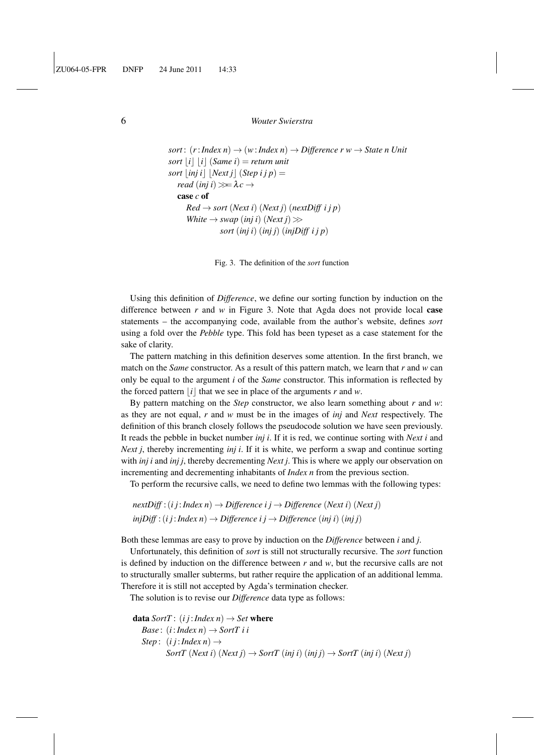```
sort : (r: Index n) \rightarrow (w:Index n) \rightarrow Difference r w \rightarrow State n Unitsort |i| |i| (Same i) = return unit
sort \vert \textit{inj i} \vert \vert Next j \vert (Step i j p) =
   read (inj i) \gg \lambda c \rightarrowcase c of
       Red \rightarrow sort (Next i) (Next j) (nextDiff i j p)White \rightarrow swap (inj i) (Next j) \ggsort (inj i) (inj j) (injDiff i j p)
```
Fig. 3. The definition of the *sort* function

Using this definition of *Difference*, we define our sorting function by induction on the difference between *r* and *w* in Figure 3. Note that Agda does not provide local case statements – the accompanying code, available from the author's website, defines *sort* using a fold over the *Pebble* type. This fold has been typeset as a case statement for the sake of clarity.

The pattern matching in this definition deserves some attention. In the first branch, we match on the *Same* constructor. As a result of this pattern match, we learn that *r* and *w* can only be equal to the argument *i* of the *Same* constructor. This information is reflected by the forced pattern  $|i|$  that we see in place of the arguments *r* and *w*.

By pattern matching on the *Step* constructor, we also learn something about *r* and *w*: as they are not equal, *r* and *w* must be in the images of *inj* and *Next* respectively. The definition of this branch closely follows the pseudocode solution we have seen previously. It reads the pebble in bucket number *inj i*. If it is red, we continue sorting with *Next i* and *Next j*, thereby incrementing *inj i*. If it is white, we perform a swap and continue sorting with *inj i* and *inj j*, thereby decrementing *Next j*. This is where we apply our observation on incrementing and decrementing inhabitants of *Index n* from the previous section.

To perform the recursive calls, we need to define two lemmas with the following types:

 $nextDiff$ : (*i j* : *Index n*)  $\rightarrow$  *Difference i j*  $\rightarrow$  *Difference* (*Next i*) (*Next j*)  $injDiff$  :  $(i j: Index n) \rightarrow Difference i j \rightarrow Difference (inj i)$   $(inj j)$ 

Both these lemmas are easy to prove by induction on the *Difference* between *i* and *j*.

Unfortunately, this definition of *sort* is still not structurally recursive. The *sort* function is defined by induction on the difference between *r* and *w*, but the recursive calls are not to structurally smaller subterms, but rather require the application of an additional lemma. Therefore it is still not accepted by Agda's termination checker.

The solution is to revise our *Difference* data type as follows:

```
data SortT : (i j : Index n) \rightarrow Set where
   Base : (i:Index n) \rightarrow SortT i i
   Step : (i j: Index n) \rightarrowSortT (Next i) (Next j) \rightarrow SortT (inj i) (inj j) \rightarrow SortT (inj i) (Next j)
```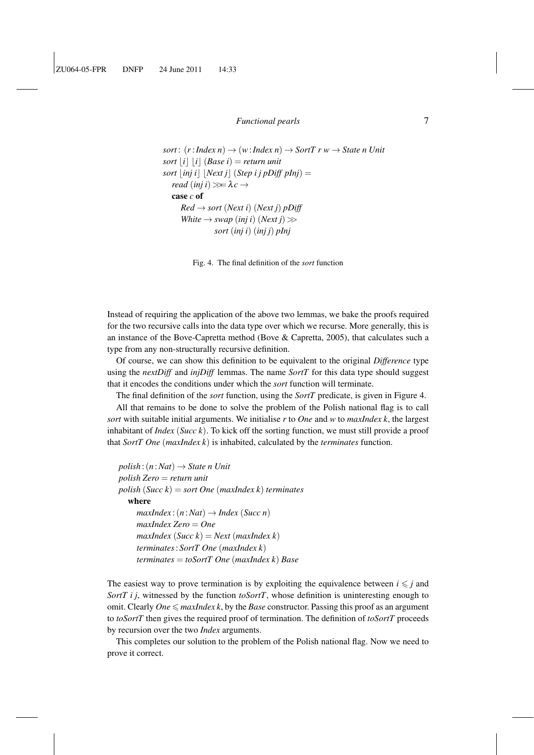```
sort: (r: Index\ n) \rightarrow (w:Index\ n) \rightarrow SortT\ r\ w \rightarrow State\ n\ Unitsort |i| |i| (Base i) = return unit
sort \vert \text{inj } i \vert \vert Next j \vert (Step i j pDiff pInj) =
   read (inj i) \gg \lambda c \rightarrowcase c of
       Red \rightarrow sort (Next i) (Next j) pDiffWhite \rightarrow swap (inj i) (Next j) \ggsort (inj i) (inj j) pInj
```
Fig. 4. The final definition of the *sort* function

Instead of requiring the application of the above two lemmas, we bake the proofs required for the two recursive calls into the data type over which we recurse. More generally, this is an instance of the Bove-Capretta method (Bove & Capretta, 2005), that calculates such a type from any non-structurally recursive definition.

Of course, we can show this definition to be equivalent to the original *Difference* type using the *nextDiff* and *injDiff* lemmas. The name *SortT* for this data type should suggest that it encodes the conditions under which the *sort* function will terminate.

The final definition of the *sort* function, using the *SortT* predicate, is given in Figure 4.

All that remains to be done to solve the problem of the Polish national flag is to call *sort* with suitable initial arguments. We initialise *r* to *One* and *w* to *maxIndex k*, the largest inhabitant of *Index* (*Succ k*). To kick off the sorting function, we must still provide a proof that *SortT One* (*maxIndex k*) is inhabited, calculated by the *terminates* function.

```
polish : (n:Nat) \rightarrow State\ n\ Unitpolish Zero = return unit
polish (Succ k) = sort One (maxIndex k) terminates
  where
     maxIndex:(n:Nat) \rightarrow Index(Succ n)maxIndex Zero = One
     maxIndex(Succ k) = Next(maxIndex k)terminates: SortT One (maxIndex k)
     terminates = toSortT One (maxIndex k) Base
```
The easiest way to prove termination is by exploiting the equivalence between  $i \leq j$  and *SortT i j*, witnessed by the function *toSortT*, whose definition is uninteresting enough to omit. Clearly  $One \leq$  *maxIndex k*, by the *Base* constructor. Passing this proof as an argument to *toSortT* then gives the required proof of termination. The definition of *toSortT* proceeds by recursion over the two *Index* arguments.

This completes our solution to the problem of the Polish national flag. Now we need to prove it correct.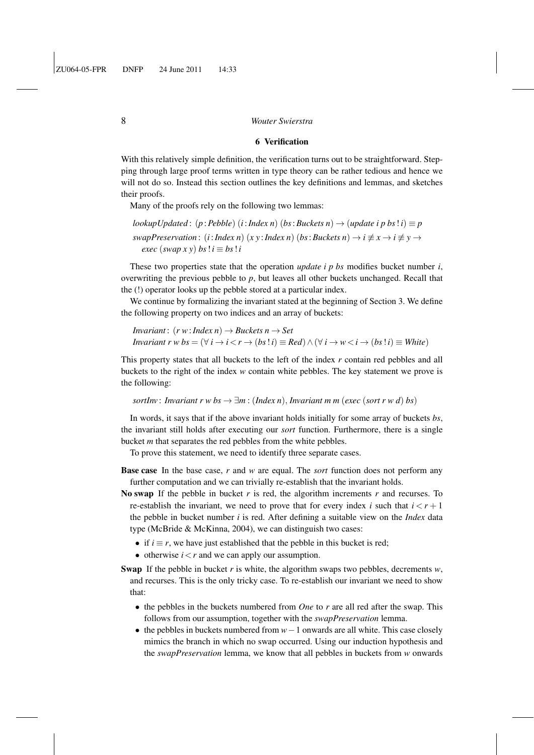#### 6 Verification

With this relatively simple definition, the verification turns out to be straightforward. Stepping through large proof terms written in type theory can be rather tedious and hence we will not do so. Instead this section outlines the key definitions and lemmas, and sketches their proofs.

Many of the proofs rely on the following two lemmas:

 $\{a \times b \}$  *lookupUpdated*:  $(p : Pebble)$   $(i : Index n)$   $(bs : Buckets n) \rightarrow (update i p bs ! i) \equiv p$ *swapPreservation* : (*i*:*Index n*) (*x y* : *Index n*) (*bs*: *Buckets n*)  $\rightarrow$  *i*  $\not\equiv$  *x*  $\rightarrow$  *i*  $\not\equiv$  *y*  $\rightarrow$ *exec* (*swap*  $x y$ ) *bs*  $! i \equiv bs ! i$ 

These two properties state that the operation *update i p bs* modifies bucket number *i*, overwriting the previous pebble to *p*, but leaves all other buckets unchanged. Recall that the (!) operator looks up the pebble stored at a particular index.

We continue by formalizing the invariant stated at the beginning of Section 3. We define the following property on two indices and an array of buckets:

```
Invariant : (r w: Index n) \rightarrow Buckets n \rightarrow SetInvariant r w bs = (\forall i \rightarrow i < r \rightarrow (bs : i) \equiv Red) \land (\forall i \rightarrow w < i \rightarrow (bs : i) \equiv White)
```
This property states that all buckets to the left of the index *r* contain red pebbles and all buckets to the right of the index *w* contain white pebbles. The key statement we prove is the following:

*sortInv*: *Invariant r w bs*  $\rightarrow \exists m$  : (*Index n*), *Invariant m m* (*exec* (*sort r w d*) *bs*)

In words, it says that if the above invariant holds initially for some array of buckets *bs*, the invariant still holds after executing our *sort* function. Furthermore, there is a single bucket *m* that separates the red pebbles from the white pebbles.

To prove this statement, we need to identify three separate cases.

Base case In the base case, *r* and *w* are equal. The *sort* function does not perform any further computation and we can trivially re-establish that the invariant holds.

- No swap If the pebble in bucket *r* is red, the algorithm increments *r* and recurses. To re-establish the invariant, we need to prove that for every index *i* such that  $i < r + 1$ the pebble in bucket number *i* is red. After defining a suitable view on the *Index* data type (McBride & McKinna, 2004), we can distinguish two cases:
	- if  $i \equiv r$ , we have just established that the pebble in this bucket is red;
	- otherwise  $i < r$  and we can apply our assumption.
- Swap If the pebble in bucket *r* is white, the algorithm swaps two pebbles, decrements *w*, and recurses. This is the only tricky case. To re-establish our invariant we need to show that:
	- the pebbles in the buckets numbered from *One* to *r* are all red after the swap. This follows from our assumption, together with the *swapPreservation* lemma.
	- the pebbles in buckets numbered from *w*−1 onwards are all white. This case closely mimics the branch in which no swap occurred. Using our induction hypothesis and the *swapPreservation* lemma, we know that all pebbles in buckets from *w* onwards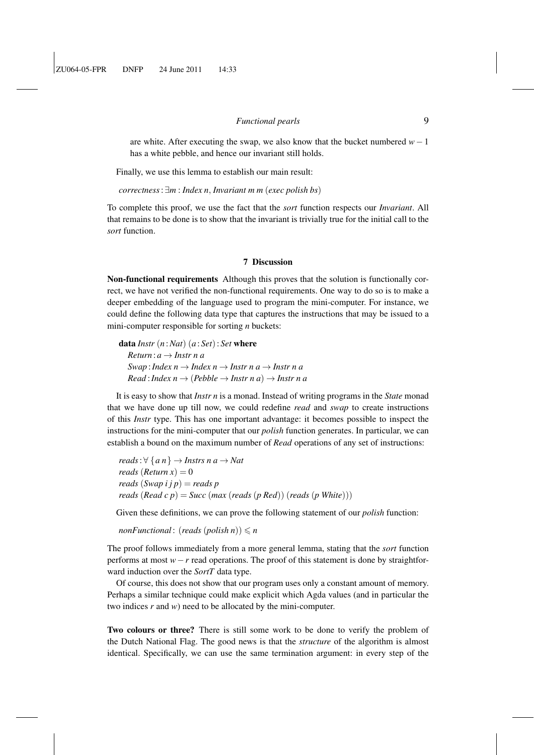are white. After executing the swap, we also know that the bucket numbered *w*−1 has a white pebble, and hence our invariant still holds.

Finally, we use this lemma to establish our main result:

*correctness*: ∃*m* : *Index n*, *Invariant m m* (*exec polish bs*)

To complete this proof, we use the fact that the *sort* function respects our *Invariant*. All that remains to be done is to show that the invariant is trivially true for the initial call to the *sort* function.

# 7 Discussion

Non-functional requirements Although this proves that the solution is functionally correct, we have not verified the non-functional requirements. One way to do so is to make a deeper embedding of the language used to program the mini-computer. For instance, we could define the following data type that captures the instructions that may be issued to a mini-computer responsible for sorting *n* buckets:

data *Instr* (*n* :*Nat*) (*a* : *Set*): *Set* where *Return* : *a* → *Instr n a*  $Swap: Index\ n \rightarrow Index\ n \rightarrow Insert\ na \rightarrow Insert\ na$  $Read: Index\ n \rightarrow (Pebble \rightarrow Insert\ n\ a) \rightarrow Insert\ n\ a$ 

It is easy to show that *Instr n* is a monad. Instead of writing programs in the *State* monad that we have done up till now, we could redefine *read* and *swap* to create instructions of this *Instr* type. This has one important advantage: it becomes possible to inspect the instructions for the mini-computer that our *polish* function generates. In particular, we can establish a bound on the maximum number of *Read* operations of any set of instructions:

 $reads: \forall \{a \ n\} \rightarrow$  *Instrs n a*  $\rightarrow$  *Nat reads* (*Return x*) = 0 *reads* (*Swap i j p*) = *reads p reads* (*Read c p*) = *Succ* (*max* (*reads* (*p Red*)) (*reads* (*p White*)))

Given these definitions, we can prove the following statement of our *polish* function:

*nonFunctional* : (*reads* (*polish n*))  $\leq n$ 

The proof follows immediately from a more general lemma, stating that the *sort* function performs at most *w*−*r* read operations. The proof of this statement is done by straightforward induction over the *SortT* data type.

Of course, this does not show that our program uses only a constant amount of memory. Perhaps a similar technique could make explicit which Agda values (and in particular the two indices *r* and *w*) need to be allocated by the mini-computer.

Two colours or three? There is still some work to be done to verify the problem of the Dutch National Flag. The good news is that the *structure* of the algorithm is almost identical. Specifically, we can use the same termination argument: in every step of the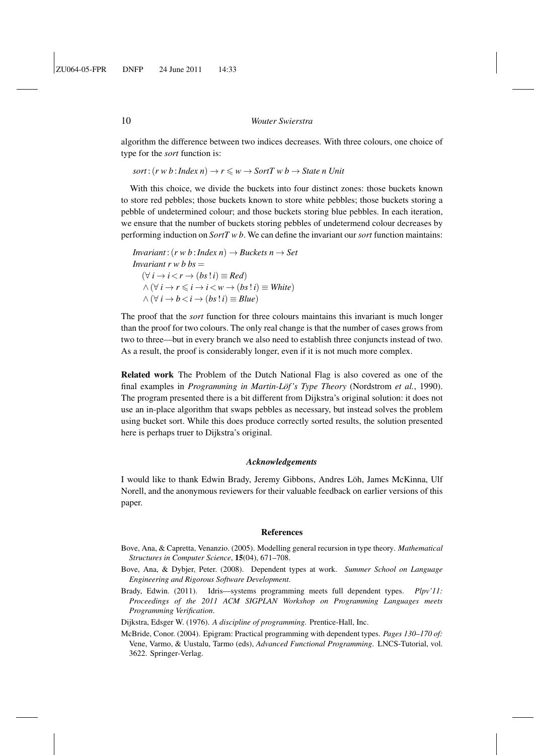algorithm the difference between two indices decreases. With three colours, one choice of type for the *sort* function is:

 $sort: (r \le b : Index\ n) \rightarrow r \le w \rightarrow SortT \le b \rightarrow State\ n\ Unit$ 

With this choice, we divide the buckets into four distinct zones: those buckets known to store red pebbles; those buckets known to store white pebbles; those buckets storing a pebble of undetermined colour; and those buckets storing blue pebbles. In each iteration, we ensure that the number of buckets storing pebbles of undetermend colour decreases by performing induction on *SortT w b*. We can define the invariant our *sort* function maintains:

*Invariant* :  $(r w b : Index n) \rightarrow Buckets n \rightarrow Set$ *Invariant r w b bs*  $=$  $(\forall i \rightarrow i \lt r \rightarrow (bs : i) \equiv Red)$  $∧$  ( $∀$  *i*  $→$  *r*  $≤$  *i*  $→$  *i*  $≤$  *w*  $→$  (*bs*!*i*)  $\equiv$  *White*)  $∧ (∀ i → b < i → (bs | i) \equiv Blue)$ 

The proof that the *sort* function for three colours maintains this invariant is much longer than the proof for two colours. The only real change is that the number of cases grows from two to three—but in every branch we also need to establish three conjuncts instead of two. As a result, the proof is considerably longer, even if it is not much more complex.

Related work The Problem of the Dutch National Flag is also covered as one of the final examples in *Programming in Martin-Löf's Type Theory* (Nordstrom *et al.*, 1990). The program presented there is a bit different from Dijkstra's original solution: it does not use an in-place algorithm that swaps pebbles as necessary, but instead solves the problem using bucket sort. While this does produce correctly sorted results, the solution presented here is perhaps truer to Dijkstra's original.

#### *Acknowledgements*

I would like to thank Edwin Brady, Jeremy Gibbons, Andres Löh, James McKinna, Ulf Norell, and the anonymous reviewers for their valuable feedback on earlier versions of this paper.

#### References

- Bove, Ana, & Capretta, Venanzio. (2005). Modelling general recursion in type theory. *Mathematical Structures in Computer Science*, 15(04), 671–708.
- Bove, Ana, & Dybjer, Peter. (2008). Dependent types at work. *Summer School on Language Engineering and Rigorous Software Development*.
- Brady, Edwin. (2011). Idris—systems programming meets full dependent types. *Plpv'11: Proceedings of the 2011 ACM SIGPLAN Workshop on Programming Languages meets Programming Verification*.
- Dijkstra, Edsger W. (1976). *A discipline of programming*. Prentice-Hall, Inc.
- McBride, Conor. (2004). Epigram: Practical programming with dependent types. *Pages 130–170 of:* Vene, Varmo, & Uustalu, Tarmo (eds), *Advanced Functional Programming*. LNCS-Tutorial, vol. 3622. Springer-Verlag.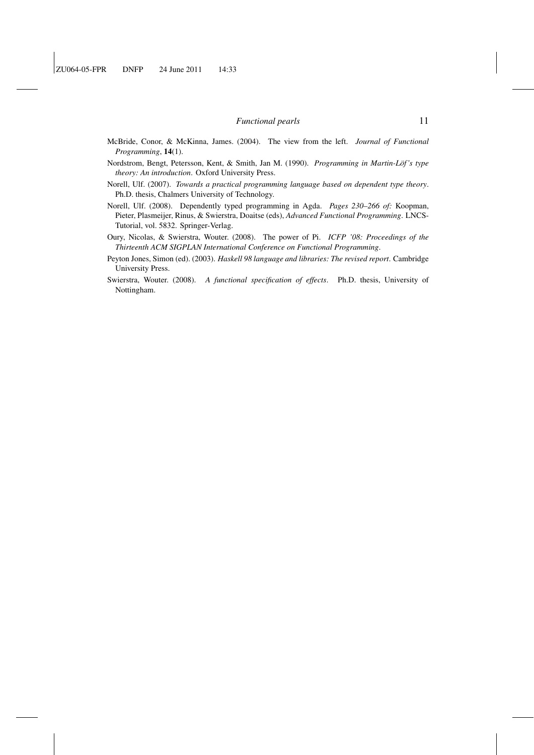- McBride, Conor, & McKinna, James. (2004). The view from the left. *Journal of Functional Programming*, 14(1).
- Nordstrom, Bengt, Petersson, Kent, & Smith, Jan M. (1990). *Programming in Martin-Lof 's type ¨ theory: An introduction*. Oxford University Press.
- Norell, Ulf. (2007). *Towards a practical programming language based on dependent type theory*. Ph.D. thesis, Chalmers University of Technology.
- Norell, Ulf. (2008). Dependently typed programming in Agda. *Pages 230–266 of:* Koopman, Pieter, Plasmeijer, Rinus, & Swierstra, Doaitse (eds), *Advanced Functional Programming*. LNCS-Tutorial, vol. 5832. Springer-Verlag.
- Oury, Nicolas, & Swierstra, Wouter. (2008). The power of Pi. *ICFP '08: Proceedings of the Thirteenth ACM SIGPLAN International Conference on Functional Programming*.
- Peyton Jones, Simon (ed). (2003). *Haskell 98 language and libraries: The revised report*. Cambridge University Press.
- Swierstra, Wouter. (2008). *A functional specification of effects*. Ph.D. thesis, University of Nottingham.